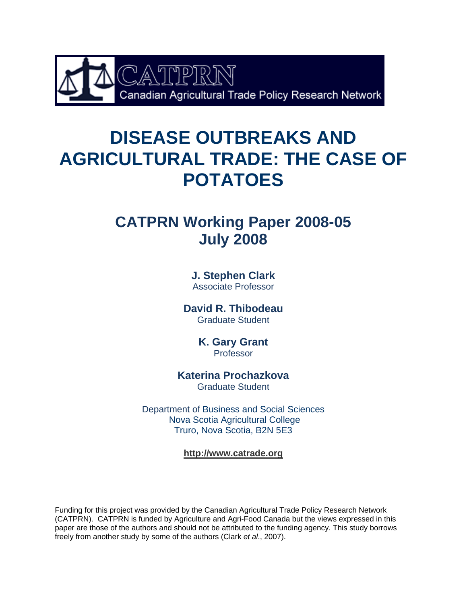

# **DISEASE OUTBREAKS AND AGRICULTURAL TRADE: THE CASE OF POTATOES**

# **CATPRN Working Paper 2008-05 July 2008**

**J. Stephen Clark** Associate Professor

**David R. Thibodeau**  Graduate Student

> **K. Gary Grant**  Professor

**Katerina Prochazkova** 

Graduate Student

Department of Business and Social Sciences Nova Scotia Agricultural College Truro, Nova Scotia, B2N 5E3

**http://www.catrade.org**

Funding for this project was provided by the Canadian Agricultural Trade Policy Research Network (CATPRN). CATPRN is funded by Agriculture and Agri-Food Canada but the views expressed in this paper are those of the authors and should not be attributed to the funding agency. This study borrows freely from another study by some of the authors (Clark *et al*., 2007).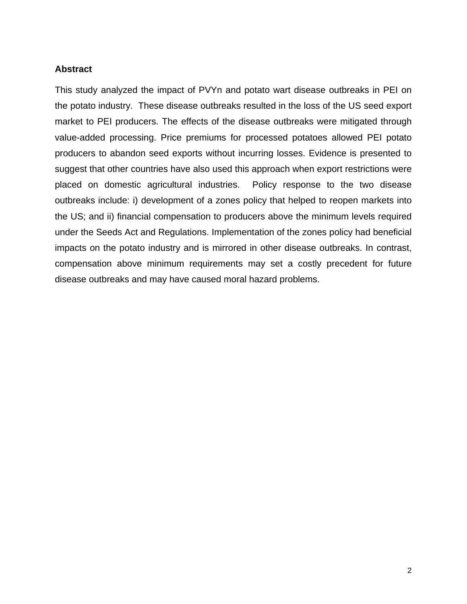## **Abstract**

This study analyzed the impact of PVYn and potato wart disease outbreaks in PEI on the potato industry. These disease outbreaks resulted in the loss of the US seed export market to PEI producers. The effects of the disease outbreaks were mitigated through value-added processing. Price premiums for processed potatoes allowed PEI potato producers to abandon seed exports without incurring losses. Evidence is presented to suggest that other countries have also used this approach when export restrictions were placed on domestic agricultural industries. Policy response to the two disease outbreaks include: i) development of a zones policy that helped to reopen markets into the US; and ii) financial compensation to producers above the minimum levels required under the Seeds Act and Regulations. Implementation of the zones policy had beneficial impacts on the potato industry and is mirrored in other disease outbreaks. In contrast, compensation above minimum requirements may set a costly precedent for future disease outbreaks and may have caused moral hazard problems.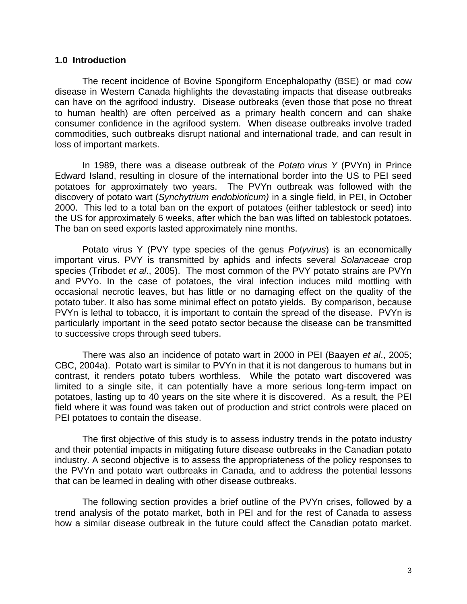#### **1.0 Introduction**

 The recent incidence of Bovine Spongiform Encephalopathy (BSE) or mad cow disease in Western Canada highlights the devastating impacts that disease outbreaks can have on the agrifood industry. Disease outbreaks (even those that pose no threat to human health) are often perceived as a primary health concern and can shake consumer confidence in the agrifood system. When disease outbreaks involve traded commodities, such outbreaks disrupt national and international trade, and can result in loss of important markets.

In 1989, there was a disease outbreak of the *Potato virus Y* (PVYn) in Prince Edward Island, resulting in closure of the international border into the US to PEI seed potatoes for approximately two years. The PVYn outbreak was followed with the discovery of potato wart (*Synchytrium endobioticum)* in a single field, in PEI, in October 2000. This led to a total ban on the export of potatoes (either tablestock or seed) into the US for approximately 6 weeks, after which the ban was lifted on tablestock potatoes. The ban on seed exports lasted approximately nine months.

Potato virus Y (PVY type species of the genus *Potyvirus*) is an economically important virus. PVY is transmitted by aphids and infects several *Solanaceae* crop species (Tribodet *et al*., 2005). The most common of the PVY potato strains are PVYn and PVYo. In the case of potatoes, the viral infection induces mild mottling with occasional necrotic leaves, but has little or no damaging effect on the quality of the potato tuber. It also has some minimal effect on potato yields. By comparison, because PVYn is lethal to tobacco, it is important to contain the spread of the disease. PVYn is particularly important in the seed potato sector because the disease can be transmitted to successive crops through seed tubers.

There was also an incidence of potato wart in 2000 in PEI (Baayen *et al*., 2005; CBC, 2004a). Potato wart is similar to PVYn in that it is not dangerous to humans but in contrast, it renders potato tubers worthless. While the potato wart discovered was limited to a single site, it can potentially have a more serious long-term impact on potatoes, lasting up to 40 years on the site where it is discovered. As a result, the PEI field where it was found was taken out of production and strict controls were placed on PEI potatoes to contain the disease.

The first objective of this study is to assess industry trends in the potato industry and their potential impacts in mitigating future disease outbreaks in the Canadian potato industry. A second objective is to assess the appropriateness of the policy responses to the PVYn and potato wart outbreaks in Canada, and to address the potential lessons that can be learned in dealing with other disease outbreaks.

The following section provides a brief outline of the PVYn crises, followed by a trend analysis of the potato market, both in PEI and for the rest of Canada to assess how a similar disease outbreak in the future could affect the Canadian potato market.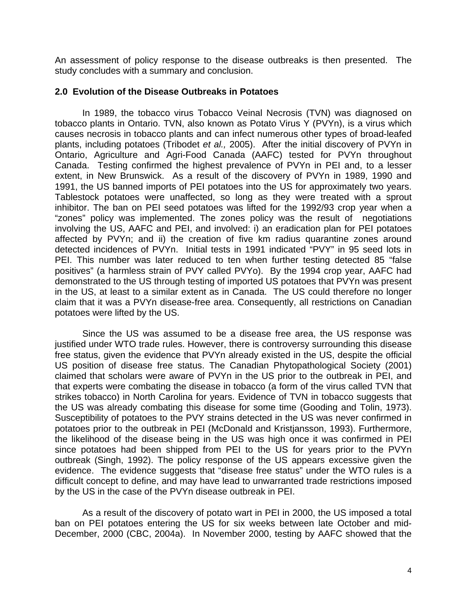An assessment of policy response to the disease outbreaks is then presented. The study concludes with a summary and conclusion.

#### **2.0 Evolution of the Disease Outbreaks in Potatoes**

In 1989, the tobacco virus Tobacco Veinal Necrosis (TVN) was diagnosed on tobacco plants in Ontario. TVN, also known as Potato Virus Y (PVYn), is a virus which causes necrosis in tobacco plants and can infect numerous other types of broad-leafed plants, including potatoes (Tribodet *et al.,* 2005). After the initial discovery of PVYn in Ontario, Agriculture and Agri-Food Canada (AAFC) tested for PVYn throughout Canada. Testing confirmed the highest prevalence of PVYn in PEI and, to a lesser extent, in New Brunswick. As a result of the discovery of PVYn in 1989, 1990 and 1991, the US banned imports of PEI potatoes into the US for approximately two years. Tablestock potatoes were unaffected, so long as they were treated with a sprout inhibitor. The ban on PEI seed potatoes was lifted for the 1992/93 crop year when a "zones" policy was implemented. The zones policy was the result of negotiations involving the US, AAFC and PEI, and involved: i) an eradication plan for PEI potatoes affected by PVYn; and ii) the creation of five km radius quarantine zones around detected incidences of PVYn. Initial tests in 1991 indicated "PVY" in 95 seed lots in PEI. This number was later reduced to ten when further testing detected 85 "false positives" (a harmless strain of PVY called PVYo). By the 1994 crop year, AAFC had demonstrated to the US through testing of imported US potatoes that PVYn was present in the US, at least to a similar extent as in Canada. The US could therefore no longer claim that it was a PVYn disease-free area. Consequently, all restrictions on Canadian potatoes were lifted by the US.

Since the US was assumed to be a disease free area, the US response was justified under WTO trade rules. However, there is controversy surrounding this disease free status, given the evidence that PVYn already existed in the US, despite the official US position of disease free status. The Canadian Phytopathological Society (2001) claimed that scholars were aware of PVYn in the US prior to the outbreak in PEI, and that experts were combating the disease in tobacco (a form of the virus called TVN that strikes tobacco) in North Carolina for years. Evidence of TVN in tobacco suggests that the US was already combating this disease for some time (Gooding and Tolin, 1973). Susceptibility of potatoes to the PVY strains detected in the US was never confirmed in potatoes prior to the outbreak in PEI (McDonald and Kristjansson, 1993). Furthermore, the likelihood of the disease being in the US was high once it was confirmed in PEI since potatoes had been shipped from PEI to the US for years prior to the PVYn outbreak (Singh, 1992). The policy response of the US appears excessive given the evidence. The evidence suggests that "disease free status" under the WTO rules is a difficult concept to define, and may have lead to unwarranted trade restrictions imposed by the US in the case of the PVYn disease outbreak in PEI.

 As a result of the discovery of potato wart in PEI in 2000, the US imposed a total ban on PEI potatoes entering the US for six weeks between late October and mid-December, 2000 (CBC, 2004a). In November 2000, testing by AAFC showed that the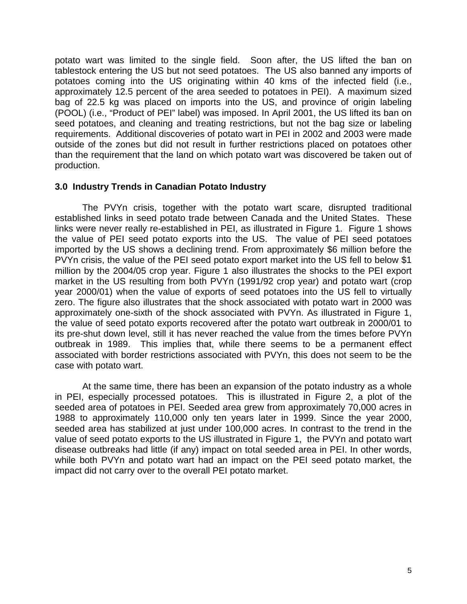potato wart was limited to the single field. Soon after, the US lifted the ban on tablestock entering the US but not seed potatoes. The US also banned any imports of potatoes coming into the US originating within 40 kms of the infected field (i.e., approximately 12.5 percent of the area seeded to potatoes in PEI). A maximum sized bag of 22.5 kg was placed on imports into the US, and province of origin labeling (POOL) (i.e., "Product of PEI" label) was imposed. In April 2001, the US lifted its ban on seed potatoes, and cleaning and treating restrictions, but not the bag size or labeling requirements. Additional discoveries of potato wart in PEI in 2002 and 2003 were made outside of the zones but did not result in further restrictions placed on potatoes other than the requirement that the land on which potato wart was discovered be taken out of production.

#### **3.0 Industry Trends in Canadian Potato Industry**

The PVYn crisis, together with the potato wart scare, disrupted traditional established links in seed potato trade between Canada and the United States. These links were never really re-established in PEI, as illustrated in Figure 1. Figure 1 shows the value of PEI seed potato exports into the US. The value of PEI seed potatoes imported by the US shows a declining trend. From approximately \$6 million before the PVYn crisis, the value of the PEI seed potato export market into the US fell to below \$1 million by the 2004/05 crop year. Figure 1 also illustrates the shocks to the PEI export market in the US resulting from both PVYn (1991/92 crop year) and potato wart (crop year 2000/01) when the value of exports of seed potatoes into the US fell to virtually zero. The figure also illustrates that the shock associated with potato wart in 2000 was approximately one-sixth of the shock associated with PVYn. As illustrated in Figure 1, the value of seed potato exports recovered after the potato wart outbreak in 2000/01 to its pre-shut down level, still it has never reached the value from the times before PVYn outbreak in 1989. This implies that, while there seems to be a permanent effect associated with border restrictions associated with PVYn, this does not seem to be the case with potato wart.

At the same time, there has been an expansion of the potato industry as a whole in PEI, especially processed potatoes. This is illustrated in Figure 2, a plot of the seeded area of potatoes in PEI. Seeded area grew from approximately 70,000 acres in 1988 to approximately 110,000 only ten years later in 1999. Since the year 2000, seeded area has stabilized at just under 100,000 acres. In contrast to the trend in the value of seed potato exports to the US illustrated in Figure 1, the PVYn and potato wart disease outbreaks had little (if any) impact on total seeded area in PEI. In other words, while both PVYn and potato wart had an impact on the PEI seed potato market, the impact did not carry over to the overall PEI potato market.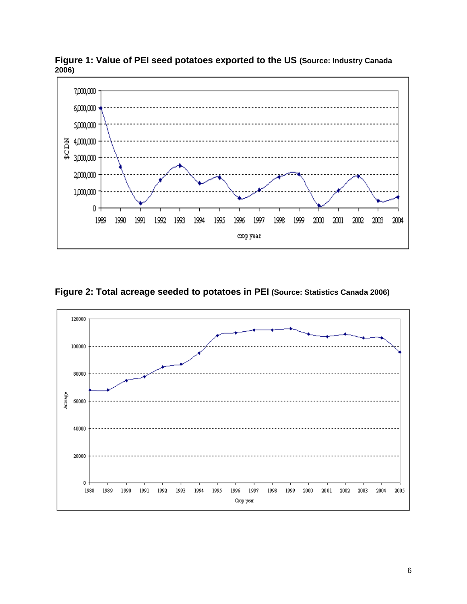

**Figure 1: Value of PEI seed potatoes exported to the US (Source: Industry Canada 2006)**



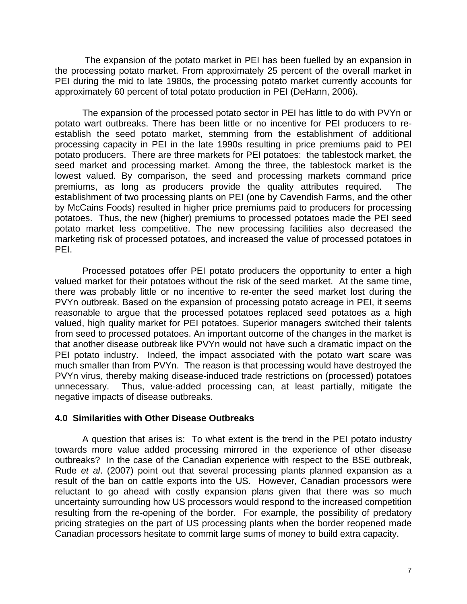The expansion of the potato market in PEI has been fuelled by an expansion in the processing potato market. From approximately 25 percent of the overall market in PEI during the mid to late 1980s, the processing potato market currently accounts for approximately 60 percent of total potato production in PEI (DeHann, 2006).

The expansion of the processed potato sector in PEI has little to do with PVYn or potato wart outbreaks. There has been little or no incentive for PEI producers to reestablish the seed potato market, stemming from the establishment of additional processing capacity in PEI in the late 1990s resulting in price premiums paid to PEI potato producers. There are three markets for PEI potatoes: the tablestock market, the seed market and processing market. Among the three, the tablestock market is the lowest valued. By comparison, the seed and processing markets command price premiums, as long as producers provide the quality attributes required. The establishment of two processing plants on PEI (one by Cavendish Farms, and the other by McCains Foods) resulted in higher price premiums paid to producers for processing potatoes. Thus, the new (higher) premiums to processed potatoes made the PEI seed potato market less competitive. The new processing facilities also decreased the marketing risk of processed potatoes, and increased the value of processed potatoes in PEI.

Processed potatoes offer PEI potato producers the opportunity to enter a high valued market for their potatoes without the risk of the seed market. At the same time, there was probably little or no incentive to re-enter the seed market lost during the PVYn outbreak. Based on the expansion of processing potato acreage in PEI, it seems reasonable to argue that the processed potatoes replaced seed potatoes as a high valued, high quality market for PEI potatoes. Superior managers switched their talents from seed to processed potatoes. An important outcome of the changes in the market is that another disease outbreak like PVYn would not have such a dramatic impact on the PEI potato industry. Indeed, the impact associated with the potato wart scare was much smaller than from PVYn. The reason is that processing would have destroyed the PVYn virus, thereby making disease-induced trade restrictions on (processed) potatoes unnecessary. Thus, value-added processing can, at least partially, mitigate the negative impacts of disease outbreaks.

## **4.0 Similarities with Other Disease Outbreaks**

A question that arises is: To what extent is the trend in the PEI potato industry towards more value added processing mirrored in the experience of other disease outbreaks? In the case of the Canadian experience with respect to the BSE outbreak, Rude *et al*. (2007) point out that several processing plants planned expansion as a result of the ban on cattle exports into the US. However, Canadian processors were reluctant to go ahead with costly expansion plans given that there was so much uncertainty surrounding how US processors would respond to the increased competition resulting from the re-opening of the border. For example, the possibility of predatory pricing strategies on the part of US processing plants when the border reopened made Canadian processors hesitate to commit large sums of money to build extra capacity.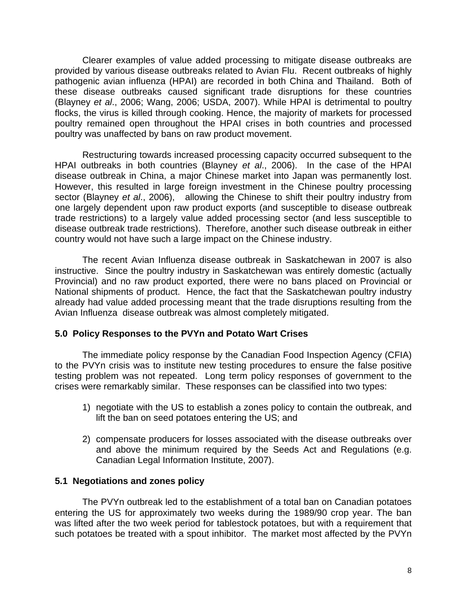Clearer examples of value added processing to mitigate disease outbreaks are provided by various disease outbreaks related to Avian Flu. Recent outbreaks of highly pathogenic avian influenza (HPAI) are recorded in both China and Thailand. Both of these disease outbreaks caused significant trade disruptions for these countries (Blayney *et al*., 2006; Wang, 2006; USDA, 2007). While HPAI is detrimental to poultry flocks, the virus is killed through cooking. Hence, the majority of markets for processed poultry remained open throughout the HPAI crises in both countries and processed poultry was unaffected by bans on raw product movement.

Restructuring towards increased processing capacity occurred subsequent to the HPAI outbreaks in both countries (Blayney *et al*., 2006). In the case of the HPAI disease outbreak in China, a major Chinese market into Japan was permanently lost. However, this resulted in large foreign investment in the Chinese poultry processing sector (Blayney *et al*., 2006), allowing the Chinese to shift their poultry industry from one largely dependent upon raw product exports (and susceptible to disease outbreak trade restrictions) to a largely value added processing sector (and less susceptible to disease outbreak trade restrictions). Therefore, another such disease outbreak in either country would not have such a large impact on the Chinese industry.

The recent Avian Influenza disease outbreak in Saskatchewan in 2007 is also instructive. Since the poultry industry in Saskatchewan was entirely domestic (actually Provincial) and no raw product exported, there were no bans placed on Provincial or National shipments of product. Hence, the fact that the Saskatchewan poultry industry already had value added processing meant that the trade disruptions resulting from the Avian Influenza disease outbreak was almost completely mitigated.

## **5.0 Policy Responses to the PVYn and Potato Wart Crises**

The immediate policy response by the Canadian Food Inspection Agency (CFIA) to the PVYn crisis was to institute new testing procedures to ensure the false positive testing problem was not repeated. Long term policy responses of government to the crises were remarkably similar. These responses can be classified into two types:

- 1) negotiate with the US to establish a zones policy to contain the outbreak, and lift the ban on seed potatoes entering the US; and
- 2) compensate producers for losses associated with the disease outbreaks over and above the minimum required by the Seeds Act and Regulations (e.g. Canadian Legal Information Institute, 2007).

#### **5.1 Negotiations and zones policy**

The PVYn outbreak led to the establishment of a total ban on Canadian potatoes entering the US for approximately two weeks during the 1989/90 crop year. The ban was lifted after the two week period for tablestock potatoes, but with a requirement that such potatoes be treated with a spout inhibitor. The market most affected by the PVYn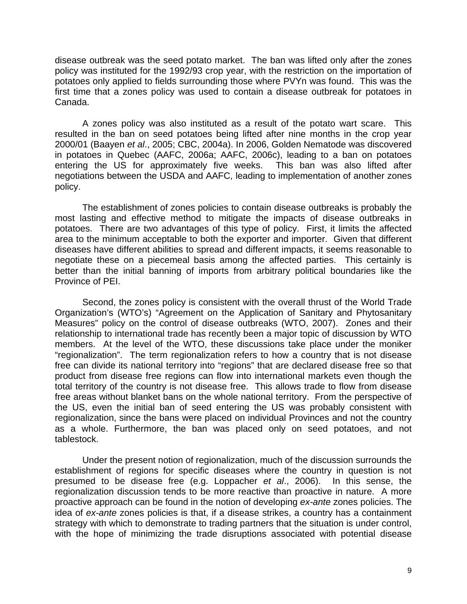disease outbreak was the seed potato market. The ban was lifted only after the zones policy was instituted for the 1992/93 crop year, with the restriction on the importation of potatoes only applied to fields surrounding those where PVYn was found. This was the first time that a zones policy was used to contain a disease outbreak for potatoes in Canada.

A zones policy was also instituted as a result of the potato wart scare. This resulted in the ban on seed potatoes being lifted after nine months in the crop year 2000/01 (Baayen *et al*., 2005; CBC, 2004a). In 2006, Golden Nematode was discovered in potatoes in Quebec (AAFC, 2006a; AAFC, 2006c), leading to a ban on potatoes entering the US for approximately five weeks. This ban was also lifted after negotiations between the USDA and AAFC, leading to implementation of another zones policy.

The establishment of zones policies to contain disease outbreaks is probably the most lasting and effective method to mitigate the impacts of disease outbreaks in potatoes. There are two advantages of this type of policy. First, it limits the affected area to the minimum acceptable to both the exporter and importer. Given that different diseases have different abilities to spread and different impacts, it seems reasonable to negotiate these on a piecemeal basis among the affected parties. This certainly is better than the initial banning of imports from arbitrary political boundaries like the Province of PEI.

Second, the zones policy is consistent with the overall thrust of the World Trade Organization's (WTO's) "Agreement on the Application of Sanitary and Phytosanitary Measures" policy on the control of disease outbreaks (WTO, 2007). Zones and their relationship to international trade has recently been a major topic of discussion by WTO members. At the level of the WTO, these discussions take place under the moniker "regionalization". The term regionalization refers to how a country that is not disease free can divide its national territory into "regions" that are declared disease free so that product from disease free regions can flow into international markets even though the total territory of the country is not disease free. This allows trade to flow from disease free areas without blanket bans on the whole national territory. From the perspective of the US, even the initial ban of seed entering the US was probably consistent with regionalization, since the bans were placed on individual Provinces and not the country as a whole. Furthermore, the ban was placed only on seed potatoes, and not tablestock.

Under the present notion of regionalization, much of the discussion surrounds the establishment of regions for specific diseases where the country in question is not presumed to be disease free (e.g. Loppacher *et al*., 2006). In this sense, the regionalization discussion tends to be more reactive than proactive in nature. A more proactive approach can be found in the notion of developing *ex-ante* zones policies. The idea of *ex-ante* zones policies is that, if a disease strikes, a country has a containment strategy with which to demonstrate to trading partners that the situation is under control, with the hope of minimizing the trade disruptions associated with potential disease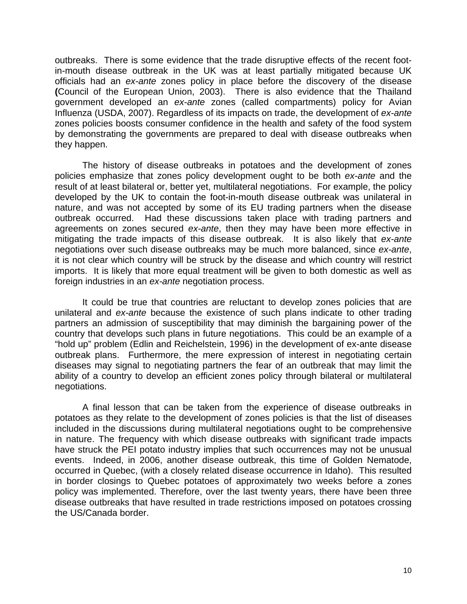outbreaks. There is some evidence that the trade disruptive effects of the recent footin-mouth disease outbreak in the UK was at least partially mitigated because UK officials had an *ex-ante* zones policy in place before the discovery of the disease **(**Council of the European Union, 2003). There is also evidence that the Thailand government developed an *ex-ante* zones (called compartments) policy for Avian Influenza (USDA, 2007). Regardless of its impacts on trade, the development of *ex-ante* zones policies boosts consumer confidence in the health and safety of the food system by demonstrating the governments are prepared to deal with disease outbreaks when they happen.

The history of disease outbreaks in potatoes and the development of zones policies emphasize that zones policy development ought to be both *ex-ante* and the result of at least bilateral or, better yet, multilateral negotiations. For example, the policy developed by the UK to contain the foot-in-mouth disease outbreak was unilateral in nature, and was not accepted by some of its EU trading partners when the disease outbreak occurred. Had these discussions taken place with trading partners and agreements on zones secured *ex-ante*, then they may have been more effective in mitigating the trade impacts of this disease outbreak. It is also likely that *ex-ante* negotiations over such disease outbreaks may be much more balanced, since *ex-ante*, it is not clear which country will be struck by the disease and which country will restrict imports. It is likely that more equal treatment will be given to both domestic as well as foreign industries in an *ex-ante* negotiation process.

It could be true that countries are reluctant to develop zones policies that are unilateral and *ex-ante* because the existence of such plans indicate to other trading partners an admission of susceptibility that may diminish the bargaining power of the country that develops such plans in future negotiations. This could be an example of a "hold up" problem (Edlin and Reichelstein, 1996) in the development of ex-ante disease outbreak plans. Furthermore, the mere expression of interest in negotiating certain diseases may signal to negotiating partners the fear of an outbreak that may limit the ability of a country to develop an efficient zones policy through bilateral or multilateral negotiations.

A final lesson that can be taken from the experience of disease outbreaks in potatoes as they relate to the development of zones policies is that the list of diseases included in the discussions during multilateral negotiations ought to be comprehensive in nature. The frequency with which disease outbreaks with significant trade impacts have struck the PEI potato industry implies that such occurrences may not be unusual events. Indeed, in 2006, another disease outbreak, this time of Golden Nematode, occurred in Quebec, (with a closely related disease occurrence in Idaho). This resulted in border closings to Quebec potatoes of approximately two weeks before a zones policy was implemented. Therefore, over the last twenty years, there have been three disease outbreaks that have resulted in trade restrictions imposed on potatoes crossing the US/Canada border.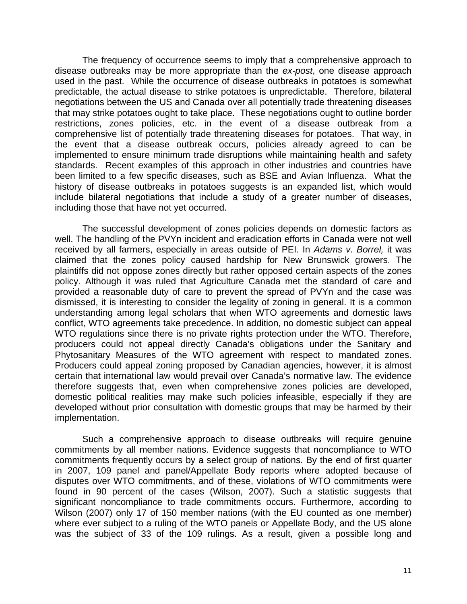The frequency of occurrence seems to imply that a comprehensive approach to disease outbreaks may be more appropriate than the *ex-post*, one disease approach used in the past. While the occurrence of disease outbreaks in potatoes is somewhat predictable, the actual disease to strike potatoes is unpredictable. Therefore, bilateral negotiations between the US and Canada over all potentially trade threatening diseases that may strike potatoes ought to take place. These negotiations ought to outline border restrictions, zones policies, etc. in the event of a disease outbreak from a comprehensive list of potentially trade threatening diseases for potatoes. That way, in the event that a disease outbreak occurs, policies already agreed to can be implemented to ensure minimum trade disruptions while maintaining health and safety standards. Recent examples of this approach in other industries and countries have been limited to a few specific diseases, such as BSE and Avian Influenza. What the history of disease outbreaks in potatoes suggests is an expanded list, which would include bilateral negotiations that include a study of a greater number of diseases, including those that have not yet occurred.

The successful development of zones policies depends on domestic factors as well. The handling of the PVYn incident and eradication efforts in Canada were not well received by all farmers, especially in areas outside of PEI. In *Adams v. Borrel,* it was claimed that the zones policy caused hardship for New Brunswick growers. The plaintiffs did not oppose zones directly but rather opposed certain aspects of the zones policy. Although it was ruled that Agriculture Canada met the standard of care and provided a reasonable duty of care to prevent the spread of PVYn and the case was dismissed, it is interesting to consider the legality of zoning in general. It is a common understanding among legal scholars that when WTO agreements and domestic laws conflict, WTO agreements take precedence. In addition, no domestic subject can appeal WTO regulations since there is no private rights protection under the WTO. Therefore, producers could not appeal directly Canada's obligations under the Sanitary and Phytosanitary Measures of the WTO agreement with respect to mandated zones. Producers could appeal zoning proposed by Canadian agencies, however, it is almost certain that international law would prevail over Canada's normative law. The evidence therefore suggests that, even when comprehensive zones policies are developed, domestic political realities may make such policies infeasible, especially if they are developed without prior consultation with domestic groups that may be harmed by their implementation.

Such a comprehensive approach to disease outbreaks will require genuine commitments by all member nations. Evidence suggests that noncompliance to WTO commitments frequently occurs by a select group of nations. By the end of first quarter in 2007, 109 panel and panel/Appellate Body reports where adopted because of disputes over WTO commitments, and of these, violations of WTO commitments were found in 90 percent of the cases (Wilson, 2007). Such a statistic suggests that significant noncompliance to trade commitments occurs. Furthermore, according to Wilson (2007) only 17 of 150 member nations (with the EU counted as one member) where ever subject to a ruling of the WTO panels or Appellate Body, and the US alone was the subject of 33 of the 109 rulings. As a result, given a possible long and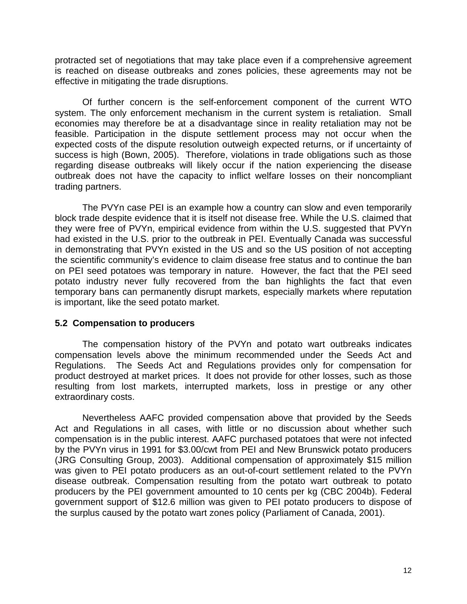protracted set of negotiations that may take place even if a comprehensive agreement is reached on disease outbreaks and zones policies, these agreements may not be effective in mitigating the trade disruptions.

 Of further concern is the self-enforcement component of the current WTO system. The only enforcement mechanism in the current system is retaliation. Small economies may therefore be at a disadvantage since in reality retaliation may not be feasible. Participation in the dispute settlement process may not occur when the expected costs of the dispute resolution outweigh expected returns, or if uncertainty of success is high (Bown, 2005). Therefore, violations in trade obligations such as those regarding disease outbreaks will likely occur if the nation experiencing the disease outbreak does not have the capacity to inflict welfare losses on their noncompliant trading partners.

The PVYn case PEI is an example how a country can slow and even temporarily block trade despite evidence that it is itself not disease free. While the U.S. claimed that they were free of PVYn, empirical evidence from within the U.S. suggested that PVYn had existed in the U.S. prior to the outbreak in PEI. Eventually Canada was successful in demonstrating that PVYn existed in the US and so the US position of not accepting the scientific community's evidence to claim disease free status and to continue the ban on PEI seed potatoes was temporary in nature. However, the fact that the PEI seed potato industry never fully recovered from the ban highlights the fact that even temporary bans can permanently disrupt markets, especially markets where reputation is important, like the seed potato market.

## **5.2 Compensation to producers**

The compensation history of the PVYn and potato wart outbreaks indicates compensation levels above the minimum recommended under the Seeds Act and Regulations. The Seeds Act and Regulations provides only for compensation for product destroyed at market prices. It does not provide for other losses, such as those resulting from lost markets, interrupted markets, loss in prestige or any other extraordinary costs.

 Nevertheless AAFC provided compensation above that provided by the Seeds Act and Regulations in all cases, with little or no discussion about whether such compensation is in the public interest. AAFC purchased potatoes that were not infected by the PVYn virus in 1991 for \$3.00/cwt from PEI and New Brunswick potato producers (JRG Consulting Group, 2003). Additional compensation of approximately \$15 million was given to PEI potato producers as an out-of-court settlement related to the PVYn disease outbreak. Compensation resulting from the potato wart outbreak to potato producers by the PEI government amounted to 10 cents per kg (CBC 2004b). Federal government support of \$12.6 million was given to PEI potato producers to dispose of the surplus caused by the potato wart zones policy (Parliament of Canada, 2001).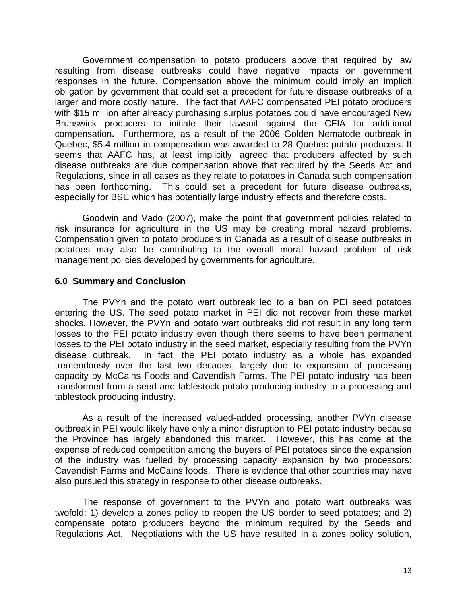Government compensation to potato producers above that required by law resulting from disease outbreaks could have negative impacts on government responses in the future. Compensation above the minimum could imply an implicit obligation by government that could set a precedent for future disease outbreaks of a larger and more costly nature. The fact that AAFC compensated PEI potato producers with \$15 million after already purchasing surplus potatoes could have encouraged New Brunswick producers to initiate their lawsuit against the CFIA for additional compensation**.** Furthermore, as a result of the 2006 Golden Nematode outbreak in Quebec, \$5.4 million in compensation was awarded to 28 Quebec potato producers. It seems that AAFC has, at least implicitly, agreed that producers affected by such disease outbreaks are due compensation above that required by the Seeds Act and Regulations, since in all cases as they relate to potatoes in Canada such compensation has been forthcoming. This could set a precedent for future disease outbreaks, especially for BSE which has potentially large industry effects and therefore costs.

 Goodwin and Vado (2007), make the point that government policies related to risk insurance for agriculture in the US may be creating moral hazard problems. Compensation given to potato producers in Canada as a result of disease outbreaks in potatoes may also be contributing to the overall moral hazard problem of risk management policies developed by governments for agriculture.

## **6.0 Summary and Conclusion**

The PVYn and the potato wart outbreak led to a ban on PEI seed potatoes entering the US. The seed potato market in PEI did not recover from these market shocks. However, the PVYn and potato wart outbreaks did not result in any long term losses to the PEI potato industry even though there seems to have been permanent losses to the PEI potato industry in the seed market, especially resulting from the PVYn disease outbreak. In fact, the PEI potato industry as a whole has expanded tremendously over the last two decades, largely due to expansion of processing capacity by McCains Foods and Cavendish Farms. The PEI potato industry has been transformed from a seed and tablestock potato producing industry to a processing and tablestock producing industry.

As a result of the increased valued-added processing, another PVYn disease outbreak in PEI would likely have only a minor disruption to PEI potato industry because the Province has largely abandoned this market. However, this has come at the expense of reduced competition among the buyers of PEI potatoes since the expansion of the industry was fuelled by processing capacity expansion by two processors: Cavendish Farms and McCains foods. There is evidence that other countries may have also pursued this strategy in response to other disease outbreaks.

 The response of government to the PVYn and potato wart outbreaks was twofold: 1) develop a zones policy to reopen the US border to seed potatoes; and 2) compensate potato producers beyond the minimum required by the Seeds and Regulations Act. Negotiations with the US have resulted in a zones policy solution,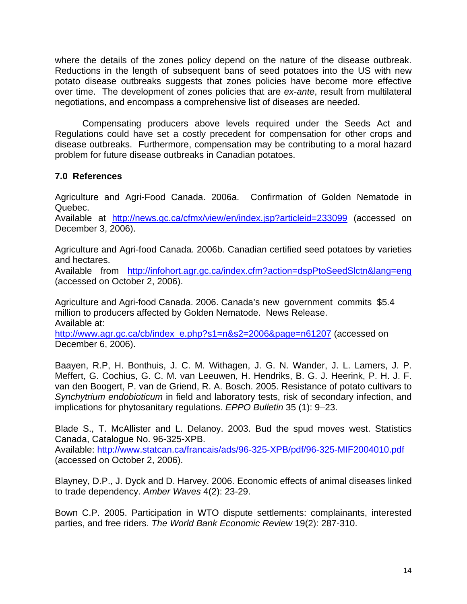where the details of the zones policy depend on the nature of the disease outbreak. Reductions in the length of subsequent bans of seed potatoes into the US with new potato disease outbreaks suggests that zones policies have become more effective over time. The development of zones policies that are *ex-ante*, result from multilateral negotiations, and encompass a comprehensive list of diseases are needed.

Compensating producers above levels required under the Seeds Act and Regulations could have set a costly precedent for compensation for other crops and disease outbreaks. Furthermore, compensation may be contributing to a moral hazard problem for future disease outbreaks in Canadian potatoes.

# **7.0 References**

Agriculture and Agri-Food Canada. 2006a. Confirmation of Golden Nematode in Quebec.

Available at http://news.gc.ca/cfmx/view/en/index.jsp?articleid=233099 (accessed on December 3, 2006).

Agriculture and Agri-food Canada. 2006b. Canadian certified seed potatoes by varieties and hectares.

Available from http://infohort.agr.gc.ca/index.cfm?action=dspPtoSeedSlctn&lang=eng (accessed on October 2, 2006).

Agriculture and Agri-food Canada. 2006. Canada's new government commits \$5.4 million to producers affected by Golden Nematode. News Release. Available at:

http://www.agr.gc.ca/cb/index\_e.php?s1=n&s2=2006&page=n61207 (accessed on December 6, 2006).

Baayen, R.P, H. Bonthuis, J. C. M. Withagen, J. G. N. Wander, J. L. Lamers, J. P. Meffert, G. Cochius, G. C. M. van Leeuwen, H. Hendriks, B. G. J. Heerink, P. H. J. F. van den Boogert, P. van de Griend, R. A. Bosch. 2005. Resistance of potato cultivars to *Synchytrium endobioticum* in field and laboratory tests, risk of secondary infection, and implications for phytosanitary regulations. *EPPO Bulletin* 35 (1): 9–23.

Blade S., T. McAllister and L. Delanoy. 2003. Bud the spud moves west. Statistics Canada, Catalogue No. 96-325-XPB.

Available: http://www.statcan.ca/francais/ads/96-325-XPB/pdf/96-325-MIF2004010.pdf (accessed on October 2, 2006).

Blayney, D.P., J. Dyck and D. Harvey. 2006. Economic effects of animal diseases linked to trade dependency. *Amber Waves* 4(2): 23-29.

Bown C.P. 2005. Participation in WTO dispute settlements: complainants, interested parties, and free riders. *The World Bank Economic Review* 19(2): 287-310.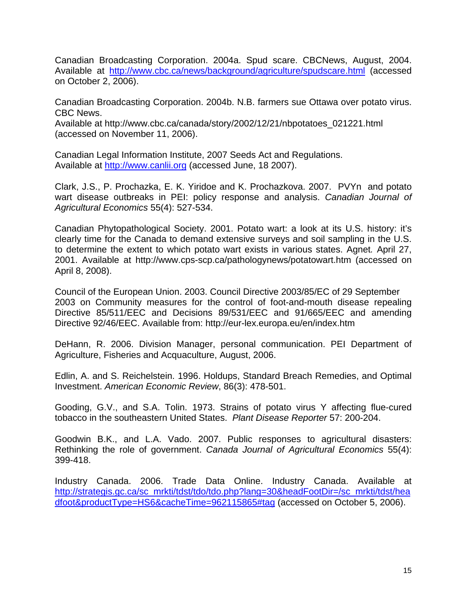Canadian Broadcasting Corporation. 2004a. Spud scare. CBCNews, August, 2004. Available at http://www.cbc.ca/news/background/agriculture/spudscare.html (accessed on October 2, 2006).

Canadian Broadcasting Corporation. 2004b. N.B. farmers sue Ottawa over potato virus. CBC News.

Available at http://www.cbc.ca/canada/story/2002/12/21/nbpotatoes\_021221.html (accessed on November 11, 2006).

Canadian Legal Information Institute, 2007 Seeds Act and Regulations. Available at http://www.canlii.org (accessed June, 18 2007).

Clark, J.S., P. Prochazka, E. K. Yiridoe and K. Prochazkova. 2007. PVYn and potato wart disease outbreaks in PEI: policy response and analysis. *Canadian Journal of Agricultural Economics* 55(4): 527-534.

Canadian Phytopathological Society. 2001. Potato wart: a look at its U.S. history: it's clearly time for the Canada to demand extensive surveys and soil sampling in the U.S. to determine the extent to which potato wart exists in various states. Agnet*.* April 27, 2001. Available at http://www.cps-scp.ca/pathologynews/potatowart.htm (accessed on April 8, 2008).

Council of the European Union. 2003. Council Directive 2003/85/EC of 29 September 2003 on Community measures for the control of foot-and-mouth disease repealing Directive 85/511/EEC and Decisions 89/531/EEC and 91/665/EEC and amending Directive 92/46/EEC. Available from: http://eur-lex.europa.eu/en/index.htm

DeHann, R. 2006. Division Manager, personal communication. PEI Department of Agriculture, Fisheries and Acquaculture, August, 2006.

Edlin, A. and S. Reichelstein. 1996. Holdups, Standard Breach Remedies, and Optimal Investment. *American Economic Review*, 86(3): 478-501.

Gooding, G.V., and S.A. Tolin. 1973. Strains of potato virus Y affecting flue-cured tobacco in the southeastern United States. *Plant Disease Reporter* 57: 200-204.

Goodwin B.K., and L.A. Vado. 2007. Public responses to agricultural disasters: Rethinking the role of government. *Canada Journal of Agricultural Economics* 55(4): 399-418.

Industry Canada. 2006. Trade Data Online. Industry Canada. Available at http://strategis.gc.ca/sc\_mrkti/tdst/tdo/tdo.php?lang=30&headFootDir=/sc\_mrkti/tdst/hea dfoot&productType=HS6&cacheTime=962115865#tag (accessed on October 5, 2006).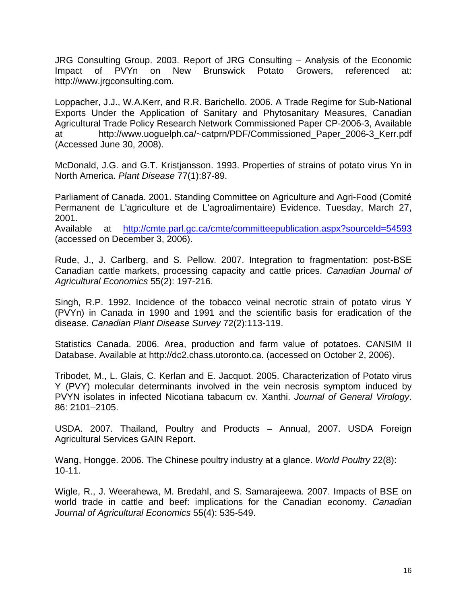JRG Consulting Group. 2003. Report of JRG Consulting – Analysis of the Economic Impact of PVYn on New Brunswick Potato Growers, referenced at: http://www.jrgconsulting.com.

Loppacher, J.J., W.A.Kerr, and R.R. Barichello. 2006. A Trade Regime for Sub-National Exports Under the Application of Sanitary and Phytosanitary Measures, Canadian Agricultural Trade Policy Research Network Commissioned Paper CP-2006-3, Available at http://www.uoguelph.ca/~catprn/PDF/Commissioned\_Paper\_2006-3\_Kerr.pdf (Accessed June 30, 2008).

McDonald, J.G. and G.T. Kristjansson. 1993. Properties of strains of potato virus Yn in North America. *Plant Disease* 77(1):87-89.

Parliament of Canada. 2001. Standing Committee on Agriculture and Agri-Food (Comité Permanent de L'agriculture et de L'agroalimentaire) Evidence. Tuesday, March 27, 2001.

Available at http://cmte.parl.gc.ca/cmte/committeepublication.aspx?sourceId=54593 (accessed on December 3, 2006).

Rude, J., J. Carlberg, and S. Pellow. 2007. Integration to fragmentation: post-BSE Canadian cattle markets, processing capacity and cattle prices. *Canadian Journal of Agricultural Economics* 55(2): 197-216.

Singh, R.P. 1992. Incidence of the tobacco veinal necrotic strain of potato virus Y (PVYn) in Canada in 1990 and 1991 and the scientific basis for eradication of the disease. *Canadian Plant Disease Survey* 72(2):113-119.

Statistics Canada. 2006. Area, production and farm value of potatoes. CANSIM II Database. Available at http://dc2.chass.utoronto.ca. (accessed on October 2, 2006).

Tribodet, M., L. Glais, C. Kerlan and E. Jacquot. 2005. Characterization of Potato virus Y (PVY) molecular determinants involved in the vein necrosis symptom induced by PVYN isolates in infected Nicotiana tabacum cv. Xanthi. *Journal of General Virology*. 86: 2101–2105.

USDA. 2007. Thailand, Poultry and Products – Annual, 2007. USDA Foreign Agricultural Services GAIN Report.

Wang, Hongge. 2006. The Chinese poultry industry at a glance. *World Poultry* 22(8): 10-11.

Wigle, R., J. Weerahewa, M. Bredahl, and S. Samarajeewa. 2007. Impacts of BSE on world trade in cattle and beef: implications for the Canadian economy. *Canadian Journal of Agricultural Economics* 55(4): 535-549.